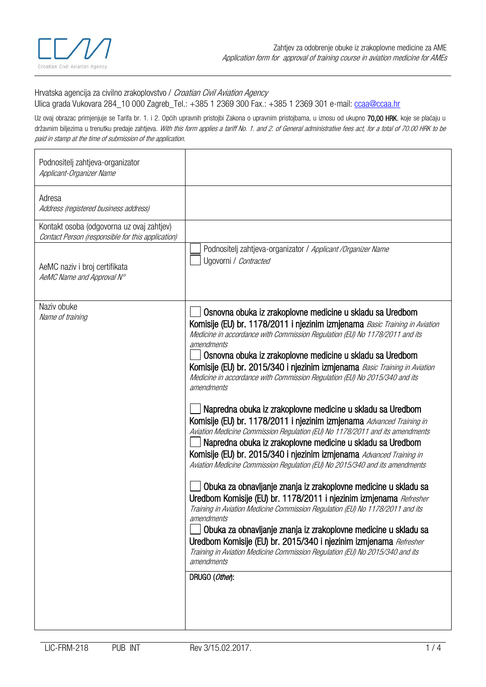

## Hrvatska agencija za civilno zrakoplovstvo / Croatian Civil Aviation Agency Ulica grada Vukovara 284 10 000 Zagreb Tel.: +385 1 2369 300 Fax.: +385 1 2369 301 e-mail: [ccaa@ccaa.hr](mailto:ccaa@ccaa.hr)

Uz ovaj obrazac primjenjuje se Tarifa br. 1. i 2. Općih upravnih pristojbi Zakona o upravnim pristojbama, u iznosu od ukupno 70,00 HRK, koje se plaćaju u državnim biljezima u trenutku predaje zahtjeva. With this form applies a tariff No. 1. and 2. of General administrative fees act, for a total of 70.00 HRK to be paid in stamp at the time of submission of the application.

| Podnositelj zahtjeva-organizator<br>Applicant-Organizer Name                                   |                                                                                                                                                                                                                                                                                                                                                                                                                                                                                                                                                                                                                                                                                                                                                                                                                                                                                                                                                                                                                                                                                                                                                                                                                                                                                                                                                                                                                          |
|------------------------------------------------------------------------------------------------|--------------------------------------------------------------------------------------------------------------------------------------------------------------------------------------------------------------------------------------------------------------------------------------------------------------------------------------------------------------------------------------------------------------------------------------------------------------------------------------------------------------------------------------------------------------------------------------------------------------------------------------------------------------------------------------------------------------------------------------------------------------------------------------------------------------------------------------------------------------------------------------------------------------------------------------------------------------------------------------------------------------------------------------------------------------------------------------------------------------------------------------------------------------------------------------------------------------------------------------------------------------------------------------------------------------------------------------------------------------------------------------------------------------------------|
| Adresa<br>Address (registered business address)                                                |                                                                                                                                                                                                                                                                                                                                                                                                                                                                                                                                                                                                                                                                                                                                                                                                                                                                                                                                                                                                                                                                                                                                                                                                                                                                                                                                                                                                                          |
| Kontakt osoba (odgovorna uz ovaj zahtjev)<br>Contact Person (responsible for this application) |                                                                                                                                                                                                                                                                                                                                                                                                                                                                                                                                                                                                                                                                                                                                                                                                                                                                                                                                                                                                                                                                                                                                                                                                                                                                                                                                                                                                                          |
| AeMC naziv i broj certifikata<br>AeMC Name and Approval N°                                     | Podnositelj zahtjeva-organizator / Applicant / Organizer Name<br>Ugovorni / Contracted                                                                                                                                                                                                                                                                                                                                                                                                                                                                                                                                                                                                                                                                                                                                                                                                                                                                                                                                                                                                                                                                                                                                                                                                                                                                                                                                   |
| Naziv obuke<br>Name of training                                                                | Osnovna obuka iz zrakoplovne medicine u skladu sa Uredbom<br>Komisije (EU) br. 1178/2011 i njezinim izmjenama Basic Training in Aviation<br>Medicine in accordance with Commission Regulation (EU) No 1178/2011 and its<br>amendments<br>Osnovna obuka iz zrakoplovne medicine u skladu sa Uredbom<br>Komisije (EU) br. 2015/340 i njezinim izmjenama Basic Training in Aviation<br>Medicine in accordance with Commission Regulation (EU) No 2015/340 and its<br>amendments<br>Napredna obuka iz zrakoplovne medicine u skladu sa Uredbom<br>Komisije (EU) br. 1178/2011 i njezinim izmjenama Advanced Training in<br>Aviation Medicine Commission Regulation (EU) No 1178/2011 and its amendments<br>Napredna obuka iz zrakoplovne medicine u skladu sa Uredbom<br>Komisije (EU) br. 2015/340 i njezinim izmjenama Advanced Training in<br>Aviation Medicine Commission Regulation (EU) No 2015/340 and its amendments<br>Obuka za obnavljanje znanja iz zrakoplovne medicine u skladu sa<br>Uredbom Komisije (EU) br. 1178/2011 i njezinim izmjenama Refresher<br>Training in Aviation Medicine Commission Regulation (EU) No 1178/2011 and its<br>amendments<br>Obuka za obnavljanje znanja iz zrakoplovne medicine u skladu sa<br>Uredbom Komisije (EU) br. 2015/340 i njezinim izmjenama Refresher<br>Training in Aviation Medicine Commission Regulation (EU) No 2015/340 and its<br>amendments<br>DRUGO (Other): |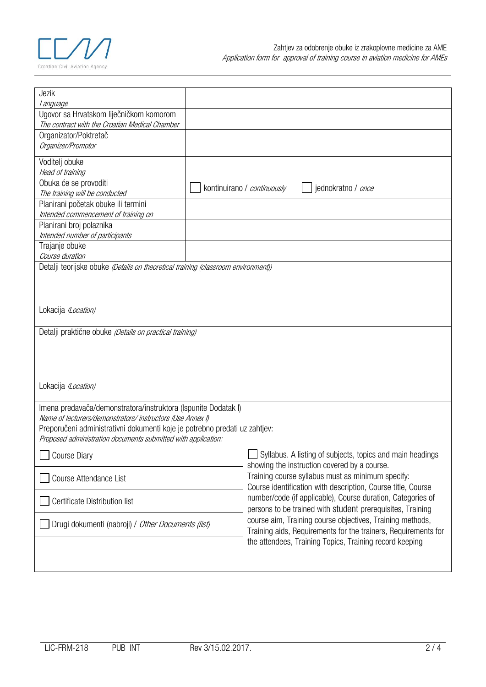

| Jezik                                                                             |  |                                                                                                                   |  |  |  |  |
|-----------------------------------------------------------------------------------|--|-------------------------------------------------------------------------------------------------------------------|--|--|--|--|
| Language                                                                          |  |                                                                                                                   |  |  |  |  |
| Ugovor sa Hrvatskom liječničkom komorom                                           |  |                                                                                                                   |  |  |  |  |
| The contract with the Croatian Medical Chamber                                    |  |                                                                                                                   |  |  |  |  |
| Organizator/Poktretač                                                             |  |                                                                                                                   |  |  |  |  |
| Organizer/Promotor                                                                |  |                                                                                                                   |  |  |  |  |
|                                                                                   |  |                                                                                                                   |  |  |  |  |
| Voditelj obuke                                                                    |  |                                                                                                                   |  |  |  |  |
| Head of training                                                                  |  |                                                                                                                   |  |  |  |  |
| Obuka će se provoditi                                                             |  |                                                                                                                   |  |  |  |  |
| The training will be conducted                                                    |  | jednokratno / once<br>kontinuirano / continuously                                                                 |  |  |  |  |
| Planirani početak obuke ili termini                                               |  |                                                                                                                   |  |  |  |  |
| Intended commencement of training on                                              |  |                                                                                                                   |  |  |  |  |
| Planirani broj polaznika                                                          |  |                                                                                                                   |  |  |  |  |
| Intended number of participants                                                   |  |                                                                                                                   |  |  |  |  |
| Trajanje obuke                                                                    |  |                                                                                                                   |  |  |  |  |
| Course duration                                                                   |  |                                                                                                                   |  |  |  |  |
|                                                                                   |  |                                                                                                                   |  |  |  |  |
| Detalji teorijske obuke (Details on theoretical training (classroom environment)) |  |                                                                                                                   |  |  |  |  |
|                                                                                   |  |                                                                                                                   |  |  |  |  |
|                                                                                   |  |                                                                                                                   |  |  |  |  |
|                                                                                   |  |                                                                                                                   |  |  |  |  |
| Lokacija (Location)                                                               |  |                                                                                                                   |  |  |  |  |
|                                                                                   |  |                                                                                                                   |  |  |  |  |
| Detalji praktične obuke (Details on practical training)                           |  |                                                                                                                   |  |  |  |  |
|                                                                                   |  |                                                                                                                   |  |  |  |  |
|                                                                                   |  |                                                                                                                   |  |  |  |  |
|                                                                                   |  |                                                                                                                   |  |  |  |  |
|                                                                                   |  |                                                                                                                   |  |  |  |  |
|                                                                                   |  |                                                                                                                   |  |  |  |  |
| Lokacija (Location)                                                               |  |                                                                                                                   |  |  |  |  |
|                                                                                   |  |                                                                                                                   |  |  |  |  |
| Imena predavača/demonstratora/instruktora (Ispunite Dodatak I)                    |  |                                                                                                                   |  |  |  |  |
| Name of lecturers/demonstrators/ instructors (Use Annex I)                        |  |                                                                                                                   |  |  |  |  |
| Preporučeni administrativni dokumenti koje je potrebno predati uz zahtjev:        |  |                                                                                                                   |  |  |  |  |
| Proposed administration documents submitted with application:                     |  |                                                                                                                   |  |  |  |  |
|                                                                                   |  |                                                                                                                   |  |  |  |  |
| <b>Course Diary</b>                                                               |  | Syllabus. A listing of subjects, topics and main headings                                                         |  |  |  |  |
|                                                                                   |  | showing the instruction covered by a course.                                                                      |  |  |  |  |
| Course Attendance List                                                            |  | Training course syllabus must as minimum specify:<br>Course identification with description, Course title, Course |  |  |  |  |
|                                                                                   |  |                                                                                                                   |  |  |  |  |
|                                                                                   |  | number/code (if applicable), Course duration, Categories of                                                       |  |  |  |  |
| Certificate Distribution list                                                     |  |                                                                                                                   |  |  |  |  |
|                                                                                   |  | persons to be trained with student prerequisites, Training                                                        |  |  |  |  |
| Drugi dokumenti (nabroji) / Other Documents (list)                                |  | course aim, Training course objectives, Training methods,                                                         |  |  |  |  |
|                                                                                   |  | Training aids, Requirements for the trainers, Requirements for                                                    |  |  |  |  |
|                                                                                   |  | the attendees, Training Topics, Training record keeping                                                           |  |  |  |  |
|                                                                                   |  |                                                                                                                   |  |  |  |  |
|                                                                                   |  |                                                                                                                   |  |  |  |  |
|                                                                                   |  |                                                                                                                   |  |  |  |  |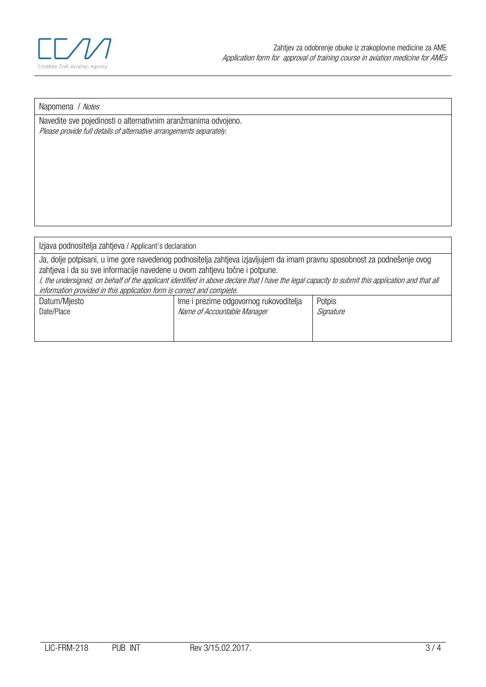

## Napomena / Notes

Navedite sve pojedinosti o alternativnim aranžmanima odvojeno. Please provide full details of alternative arrangements separately.

Izjava podnositelja zahtjeva / Applicant's declaration

Ja, dolje potpisani, u ime gore navedenog podnositelja zahtjeva izjavljujem da imam pravnu sposobnost za podnešenje ovog zahtjeva i da su sve informacije navedene u ovom zahtjevu točne i potpune. I, the undersigned, on behalf of the applicant identified in above declare that I have the legal capacity to submit this application and that all

information provided in this application form is correct and complete.

| morniquon provided in and application form to corroct and completer |                                        |           |  |  |  |  |
|---------------------------------------------------------------------|----------------------------------------|-----------|--|--|--|--|
| Datum/Mjesto                                                        | Ime i prezime odgovornog rukovoditelja | Potpis    |  |  |  |  |
| Date/Place                                                          | Name of Accountable Manager            | Signature |  |  |  |  |
|                                                                     |                                        |           |  |  |  |  |
|                                                                     |                                        |           |  |  |  |  |
|                                                                     |                                        |           |  |  |  |  |